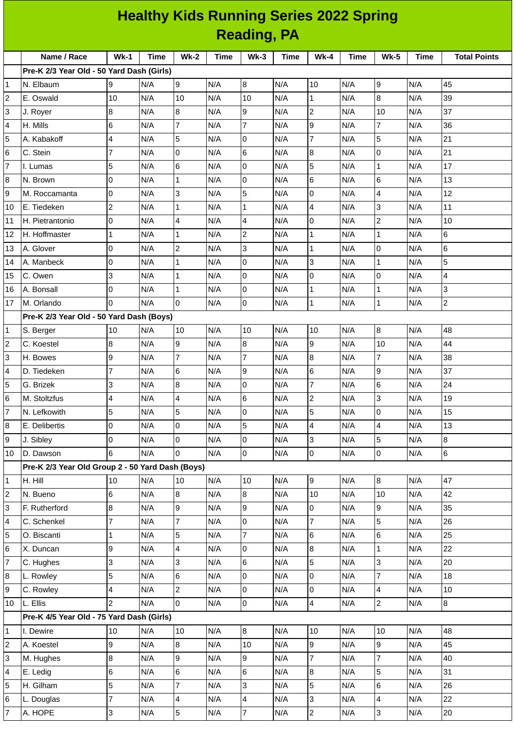|                           | <b>Healthy Kids Running Series 2022 Spring</b>   |                          |             |                |             |                          |             |                 |             |                |             |                     |
|---------------------------|--------------------------------------------------|--------------------------|-------------|----------------|-------------|--------------------------|-------------|-----------------|-------------|----------------|-------------|---------------------|
|                           | <b>Reading, PA</b>                               |                          |             |                |             |                          |             |                 |             |                |             |                     |
|                           | Name / Race                                      | $Wk-1$                   | <b>Time</b> | <b>Wk-2</b>    | <b>Time</b> | $Wk-3$                   | <b>Time</b> | $Wk-4$          | <b>Time</b> | <b>Wk-5</b>    | <b>Time</b> | <b>Total Points</b> |
|                           | Pre-K 2/3 Year Old - 50 Yard Dash (Girls)        |                          |             |                |             |                          |             |                 |             |                |             |                     |
| 1                         | N. Elbaum                                        | 9                        | N/A         | 9              | N/A         | $\boldsymbol{8}$         | N/A         | 10              | N/A         | 9              | N/A         | 45                  |
| $\overline{c}$            | E. Oswald                                        | 10                       | N/A         | 10             | N/A         | 10                       | N/A         | $\mathbf{1}$    | N/A         | 8              | N/A         | 39                  |
| 3                         | J. Royer                                         | 8                        | N/A         | $\overline{8}$ | N/A         | 9                        | N/A         | $\overline{2}$  | N/A         | 10             | N/A         | 37                  |
| 4                         | H. Mills                                         | 6                        | N/A         | $\overline{7}$ | N/A         | $\overline{7}$           | N/A         | 9               | N/A         | $\overline{7}$ | N/A         | 36                  |
| 5                         | A. Kabakoff                                      | 4                        | N/A         | 5              | N/A         | $\overline{0}$           | N/A         | $\overline{7}$  | N/A         | 5              | N/A         | 21                  |
| 6                         | C. Stein                                         | 7                        | N/A         | 0              | N/A         | $6\phantom{.}6$          | N/A         | 8               | N/A         | $\overline{0}$ | N/A         | 21                  |
| $\overline{7}$            | II. Lumas                                        | 5                        | N/A         | 6              | N/A         | $\overline{0}$           | N/A         | 5               | N/A         | $\mathbf{1}$   | N/A         | 17                  |
| 8                         | N. Brown                                         | 0                        | N/A         | $\mathbf{1}$   | N/A         | $\overline{0}$           | N/A         | 6               | N/A         | 6              | N/A         | 13                  |
| 9                         | M. Roccamanta                                    | 0                        | N/A         | 3              | N/A         | 5                        | N/A         | Iо              | N/A         | 4              | N/A         | 12                  |
| 10                        | <b>IE.</b> Tiedeken                              | $\overline{c}$           | N/A         | $\mathbf 1$    | N/A         | $\mathbf 1$              | N/A         | $\overline{4}$  | N/A         | 3              | N/A         | 11                  |
| 11                        | H. Pietrantonio                                  | 0                        | N/A         | 4              | N/A         | $\overline{\mathcal{L}}$ | N/A         | 0               | N/A         | $\overline{2}$ | N/A         | 10                  |
| 12                        | <b>H. Hoffmaster</b>                             | 1                        | N/A         | 1              | N/A         | $\overline{c}$           | N/A         | $\mathbf{1}$    | N/A         | 1              | N/A         | 6                   |
| 13                        | A. Glover                                        | 0                        | N/A         | $\overline{c}$ | N/A         | 3                        | N/A         | $\mathbf{1}$    | N/A         | $\overline{0}$ | N/A         | 6                   |
| 14                        | A. Manbeck                                       | 0                        | N/A         | $\mathbf{1}$   | N/A         | $\overline{0}$           | N/A         | 3               | N/A         | $\mathbf{1}$   | N/A         | 5                   |
| 15                        | C. Owen                                          | 3                        | N/A         | $\mathbf{1}$   | N/A         | $\overline{0}$           | N/A         | Iо              | N/A         | $\overline{0}$ | N/A         | 4                   |
| 16                        | A. Bonsall                                       | 0                        | N/A         | $\mathbf{1}$   | N/A         | l0                       | N/A         | $\mathbf{1}$    | N/A         | $\mathbf{1}$   | N/A         | 3                   |
| 17                        | M. Orlando                                       | 0                        | N/A         | 0              | N/A         | 0                        | N/A         | $\overline{1}$  | N/A         | $\mathbf{1}$   | N/A         | $\overline{c}$      |
|                           | Pre-K 2/3 Year Old - 50 Yard Dash (Boys)         |                          |             |                |             |                          |             |                 |             |                |             |                     |
| $\mathbf{1}$              | S. Berger                                        | 10                       | N/A         | 10             | N/A         | 10                       | N/A         | 10              | N/A         | 8              | N/A         | 48                  |
| 2                         | C. Koestel                                       | 8                        | N/A         | 9              | N/A         | 8                        | N/A         | 9               | N/A         | 10             | N/A         | 44                  |
| 3                         | H. Bowes                                         | 9                        | N/A         | $\overline{7}$ | N/A         | $\overline{7}$           | N/A         | 8               | N/A         | $\overline{7}$ | N/A         | 38                  |
| 4                         | D. Tiedeken                                      | 7                        | N/A         | 6              | N/A         | 9                        | N/A         | 6               | N/A         | 9              | N/A         | 37                  |
| 5                         | G. Brizek                                        | 3                        | N/A         | 8              | N/A         | $\overline{0}$           | N/A         | $\overline{7}$  | N/A         | 6              | N/A         | 24                  |
| 6                         | M. Stoltzfus                                     | $\overline{\mathcal{L}}$ | N/A         | 4              | N/A         | 6                        | N/A         | $\overline{2}$  | N/A         | 3              | N/A         | 19                  |
| $\overline{7}$            | N. Lefkowith                                     | 5                        | N/A         | 5              | N/A         | 0                        | N/A         | 5               | N/A         | 0              | N/A         | 15                  |
| 8                         | E. Delibertis                                    | 0                        | N/A         | $\mathbf 0$    | N/A         | 5                        | N/A         | $\overline{4}$  | N/A         | 4              | N/A         | 13                  |
| 9                         | J. Sibley                                        | 0                        | N/A         | O              | N/A         | l0                       | N/A         | l3              | N/A         | 5              | N/A         | 8                   |
| 10                        | D. Dawson                                        | 6                        | N/A         | 0              | N/A         | 0                        | N/A         | O               | N/A         | $\mathsf 0$    | N/A         | $6\phantom{a}$      |
|                           | Pre-K 2/3 Year Old Group 2 - 50 Yard Dash (Boys) |                          |             |                |             |                          |             |                 |             |                |             |                     |
| $\mathbf{1}$              | H. Hill                                          | 10                       | N/A         | 10             | N/A         | 10                       | N/A         | 9               | N/A         | 8              | N/A         | 47                  |
| $\overline{c}$            | N. Bueno                                         | 6                        | N/A         | 8              | N/A         | 8                        | N/A         | 10              | N/A         | 10             | N/A         | 42                  |
| 3                         | F. Rutherford                                    | $\bf 8$                  | N/A         | 9              | N/A         | 9                        | N/A         | l0              | N/A         | 9              | N/A         | 35                  |
| 4                         | C. Schenkel                                      | 7                        | N/A         | $\overline{7}$ | N/A         | 0                        | N/A         | 7               | N/A         | 5              | N/A         | 26                  |
| 5                         | O. Biscanti                                      | 1                        | N/A         | 5              | N/A         | $\overline{7}$           | N/A         | $6\overline{6}$ | N/A         | 6              | N/A         | 25                  |
| 6                         | X. Duncan                                        | 9                        | N/A         | 4              | N/A         | 0                        | N/A         | $\overline{8}$  | N/A         | $\mathbf{1}$   | N/A         | 22                  |
| $\overline{\mathfrak{c}}$ | C. Hughes                                        | 3                        | N/A         | 3              | N/A         | 6                        | N/A         | 5               | N/A         | 3              | N/A         | 20                  |
| 8                         | L. Rowley                                        | 5                        | N/A         | 6              | N/A         | $\overline{0}$           | N/A         | $\overline{0}$  | N/A         | $\overline{7}$ | N/A         | 18                  |
| 9                         | C. Rowley                                        | 4                        | N/A         | $\overline{c}$ | N/A         | $\pmb{0}$                | N/A         | Iо              | N/A         | 4              | N/A         | 10                  |
| 10                        | L. Ellis                                         | 2                        | N/A         | 0              | N/A         | 0                        | N/A         | $\overline{4}$  | N/A         | $\mathbf{2}$   | N/A         | $\bf{8}$            |
|                           | Pre-K 4/5 Year Old - 75 Yard Dash (Girls)        |                          |             |                |             |                          |             |                 |             |                |             |                     |
| 1                         | I. Dewire                                        | 10                       | N/A         | 10             | N/A         | $\overline{8}$           | N/A         | 10              | N/A         | 10             | N/A         | 48                  |
| $\overline{c}$            | A. Koestel                                       | 9                        | N/A         | 8              | N/A         | 10                       | N/A         | g               | N/A         | 9              | N/A         | 45                  |
| 3                         | M. Hughes                                        | 8                        | N/A         | 9              | N/A         | 9                        | N/A         | $\overline{7}$  | N/A         | $\overline{7}$ | N/A         | 40                  |
| 4                         | E. Ledig                                         | 6                        | N/A         | 6              | N/A         | 6                        | N/A         | 8               | N/A         | 5              | N/A         | 31                  |
| 5                         | H. Gilham                                        | 5                        | N/A         | $\overline{7}$ | N/A         | 3                        | N/A         | 5               | N/A         | 6              | N/A         | 26                  |
| 6                         | L. Douglas                                       | 7                        | N/A         | 4              | N/A         | $\overline{\mathbf{4}}$  | N/A         | 3               | N/A         | 4              | N/A         | 22                  |
| $\overline{7}$            | A. HOPE                                          | 3                        | N/A         | 5              | N/A         | $\overline{\mathcal{I}}$ | N/A         | 2               | N/A         | 3              | N/A         | $20\,$              |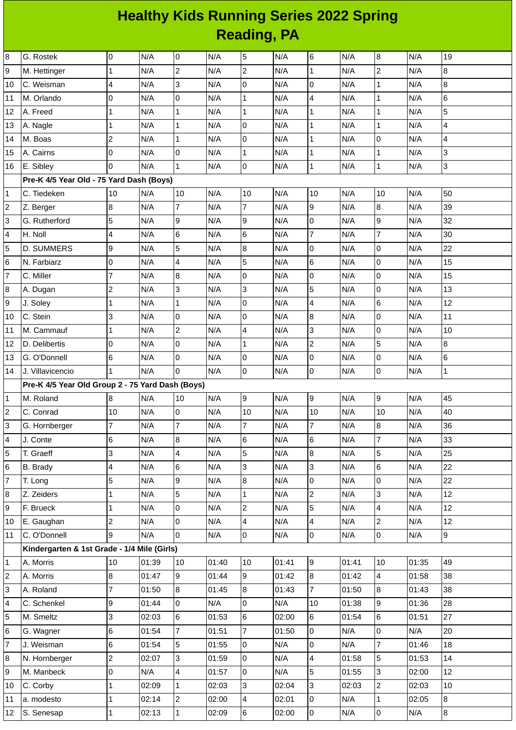## **Healthy Kids Running Series 2022 Spring Reading, PA**

| 8                       | G. Rostek                                        | l0              | N/A   | 0                        | N/A   | 5              | N/A   | 6                | N/A   | $\bf{8}$       | N/A   | 19               |
|-------------------------|--------------------------------------------------|-----------------|-------|--------------------------|-------|----------------|-------|------------------|-------|----------------|-------|------------------|
| 9                       | M. Hettinger                                     | $\mathbf{1}$    | N/A   | $\overline{2}$           | N/A   | $\overline{2}$ | N/A   | $\mathbf{1}$     | N/A   | $\overline{c}$ | N/A   | $\bf{8}$         |
| 10                      | C. Weisman                                       | $\overline{4}$  | N/A   | 3                        | N/A   | 0              | N/A   | 0                | N/A   | $\mathbf{1}$   | N/A   | 8                |
| 11                      | M. Orlando                                       | O               | N/A   | $\overline{0}$           | N/A   | $\mathbf{1}$   | N/A   | 4                | N/A   | $\mathbf{1}$   | N/A   | 6                |
| 12                      | A. Freed                                         | $\overline{1}$  | N/A   | $\mathbf{1}$             | N/A   | $\mathbf{1}$   | N/A   | $\mathbf{1}$     | N/A   | $\mathbf{1}$   | N/A   | 5                |
| 13                      | A. Nagle                                         | 1               | N/A   | $\mathbf 1$              | N/A   | 0              | N/A   | $\mathbf 1$      | N/A   | $\mathbf{1}$   | N/A   | 4                |
| 14                      | M. Boas                                          | $\overline{c}$  | N/A   | $\mathbf{1}$             | N/A   | $\overline{0}$ | N/A   | $\mathbf{1}$     | N/A   | 0              | N/A   | 4                |
| 15                      | A. Cairns                                        | 0               | N/A   | O                        | N/A   | $\mathbf{1}$   | N/A   | $\mathbf 1$      | N/A   | $\mathbf{1}$   | N/A   | 3                |
| 16                      | E. Sibley                                        | $\Omega$        | N/A   | $\mathbf{1}$             | N/A   | $\overline{0}$ | N/A   | $\mathbf{1}$     | N/A   | $\mathbf{1}$   | N/A   | 3                |
|                         | Pre-K 4/5 Year Old - 75 Yard Dash (Boys)         |                 |       |                          |       |                |       |                  |       |                |       |                  |
| $\mathbf{1}$            | C. Tiedeken                                      | 10              | N/A   | 10                       | N/A   | 10             | N/A   | 10               | N/A   | 10             | N/A   | 50               |
| $\mathbf 2$             | Z. Berger                                        | $\bf{8}$        | N/A   | $\overline{7}$           | N/A   | $\overline{7}$ | N/A   | 9                | N/A   | 8              | N/A   | 39               |
| 3                       | G. Rutherford                                    | 5               | N/A   | 9                        | N/A   | 9              | N/A   | 0                | N/A   | 9              | N/A   | 32               |
| $\overline{4}$          | H. Noll                                          | $\overline{4}$  | N/A   | $\,6$                    | N/A   | 6              | N/A   | $\overline{7}$   | N/A   | $\overline{7}$ | N/A   | 30               |
| 5                       | <b>D. SUMMERS</b>                                | 9               | N/A   | 5                        | N/A   | $\bf{8}$       | N/A   | 0                | N/A   | 0              | N/A   | 22               |
| 6                       | N. Farbiarz                                      | 0               | N/A   | $\overline{\mathbf{4}}$  | N/A   | 5              | N/A   | 6                | N/A   | 0              | N/A   | 15               |
| 7                       | C. Miller                                        | 7               | N/A   | $\bf{8}$                 | N/A   | $\mathbf 0$    | N/A   | 0                | N/A   | 0              | N/A   | 15               |
| 8                       | A. Dugan                                         | $\overline{c}$  | N/A   | 3                        | N/A   | 3              | N/A   | 5                | N/A   | 0              | N/A   | 13               |
| 9                       | J. Soley                                         | $\mathbf{1}$    | N/A   | $\mathbf{1}$             | N/A   | l0             | N/A   | 4                | N/A   | 6              | N/A   | 12               |
| 10                      | C. Stein                                         | 3               | N/A   | $\overline{0}$           | N/A   | $\overline{0}$ | N/A   | 8                | N/A   | 0              | N/A   | 11               |
| 11                      | M. Cammauf                                       | $\overline{1}$  | N/A   | $\overline{c}$           | N/A   | $\overline{4}$ | N/A   | 3                | N/A   | 0              | N/A   | 10               |
| 12                      | D. Delibertis                                    | 0               | N/A   | 0                        | N/A   | $\mathbf{1}$   | N/A   | $\overline{c}$   | N/A   | 5              | N/A   | 8                |
| 13                      | G. O'Donnell                                     | $6\phantom{.}6$ | N/A   | I٥                       | N/A   | $\overline{0}$ | N/A   | 0                | N/A   | 0              | N/A   | 6                |
| 14                      | J. Villavicencio                                 | $\mathbf{1}$    | N/A   | $\overline{0}$           | N/A   | $\overline{0}$ | N/A   | 0                | N/A   | 0              | N/A   | $\mathbf{1}$     |
|                         | Pre-K 4/5 Year Old Group 2 - 75 Yard Dash (Boys) |                 |       |                          |       |                |       |                  |       |                |       |                  |
| 1                       | M. Roland                                        | 8               | N/A   | 10                       | N/A   | 9              | N/A   | 9                | N/A   | 9              | N/A   | 45               |
| $\overline{c}$          | C. Conrad                                        | 10              | N/A   | 0                        | N/A   | 10             | N/A   | 10               | N/A   | 10             | N/A   | 40               |
| 3                       | G. Hornberger                                    | $\overline{7}$  | N/A   | $\overline{7}$           | N/A   | $\overline{7}$ | N/A   | $\overline{7}$   | N/A   | 8              | N/A   | 36               |
| 4                       | J. Conte                                         | $6\phantom{.}6$ | N/A   | $\overline{8}$           | N/A   | $6\phantom{a}$ | N/A   | 6                | N/A   | $\overline{7}$ | N/A   | 33               |
| 5                       | T. Graeff                                        | 3               | N/A   | $\overline{\mathcal{L}}$ | N/A   | 5              | N/A   | 8                | N/A   | 5              | N/A   | 25               |
| 6                       | B. Brady                                         | $\overline{4}$  | N/A   | $\,6$                    | N/A   | 3              | N/A   | 3                | N/A   | 6              | N/A   | 22               |
| $\overline{7}$          | T. Long                                          | 5               | N/A   | 9                        | N/A   | 8              | N/A   | 0                | N/A   | 0              | N/A   | 22               |
| 8                       | Z. Zeiders                                       | $\overline{1}$  | N/A   | 5                        | N/A   | $\mathbf 1$    | N/A   | $\overline{c}$   | N/A   | 3              | N/A   | 12               |
| 9                       | F. Brueck                                        | $\mathbf{1}$    | N/A   | l0                       | N/A   | $\overline{c}$ | N/A   | 5                | N/A   | 4              | N/A   | 12               |
| 10                      | E. Gaughan                                       | $\overline{c}$  | N/A   | $\overline{0}$           | N/A   | 4              | N/A   | 4                | N/A   | $\overline{c}$ | N/A   | 12               |
| 11                      | C. O'Donnell                                     | 9               | N/A   | $\overline{0}$           | N/A   | $\mathsf 0$    | N/A   | 0                | N/A   | 0              | N/A   | 9                |
|                         | Kindergarten & 1st Grade - 1/4 Mile (Girls)      |                 |       |                          |       |                |       |                  |       |                |       |                  |
| $\mathbf{1}$            | A. Morris                                        | 10              | 01:39 | 10                       | 01:40 | 10             | 01:41 | $\boldsymbol{9}$ | 01:41 | 10             | 01:35 | 49               |
| $\overline{\mathbf{c}}$ | A. Morris                                        | $\overline{8}$  | 01:47 | 9                        | 01:44 | 9              | 01:42 | 8                | 01:42 | 4              | 01:58 | 38               |
| 3                       | A. Roland                                        | 7               | 01:50 | 8                        | 01:45 | 8              | 01:43 | 7                | 01:50 | 8              | 01:43 | 38               |
| 4                       | C. Schenkel                                      | 9               | 01:44 | 0                        | N/A   | $\pmb{0}$      | N/A   | 10               | 01:38 | 9              | 01:36 | 28               |
| 5                       | M. Smeltz                                        | 3               | 02:03 | $\,6$                    | 01:53 | $6\phantom{a}$ | 02:00 | 6                | 01:54 | 6              | 01:51 | 27               |
| 6                       | G. Wagner                                        | 6               | 01:54 | $\overline{7}$           | 01:51 | $\overline{7}$ | 01:50 | 0                | N/A   | 0              | N/A   | 20               |
| $\overline{7}$          | J. Weisman                                       | 6               | 01:54 | 5                        | 01:55 | 0              | N/A   | 0                | N/A   | $\overline{7}$ | 01:46 | 18               |
| 8                       | N. Hornberger                                    | $\overline{c}$  | 02:07 | 3                        | 01:59 | $\mathsf{O}$   | N/A   | 4                | 01:58 | 5              | 01:53 | 14               |
| 9                       | M. Manbeck                                       | O               | N/A   | $\overline{\mathbf{4}}$  | 01:57 | $\overline{0}$ | N/A   | 5                | 01:55 | 3              | 02:00 | 12               |
| 10                      | C. Corby                                         | $\mathbf{1}$    | 02:09 | $\mathbf{1}$             | 02:03 | 3              | 02:04 | 3                | 02:03 | $\overline{c}$ | 02:03 | 10               |
| 11                      | a. modesto                                       | $\mathbf{1}$    | 02:14 | $\overline{c}$           | 02:00 | 4              | 02:01 | 0                | N/A   | $\mathbf{1}$   | 02:05 | 8                |
| 12                      | S. Senesap                                       | $\mathbf{1}$    | 02:13 | $\mathbf{1}$             | 02:09 | $\,6$          | 02:00 | 0                | N/A   | 0              | N/A   | $\boldsymbol{8}$ |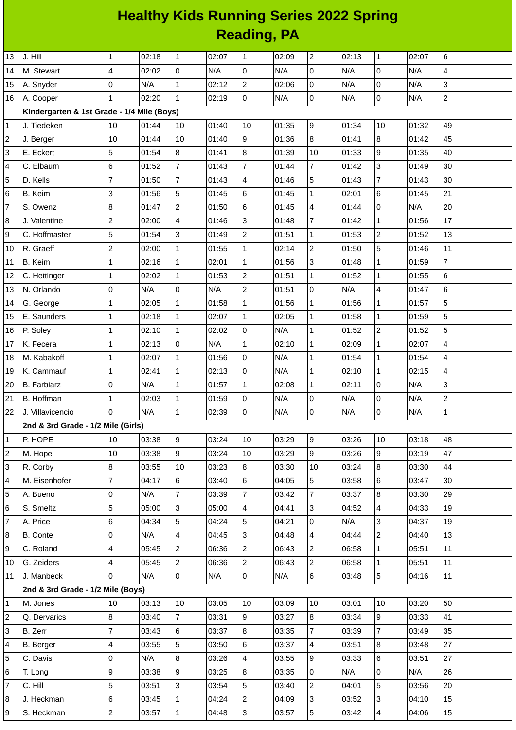## **Healthy Kids Running Series 2022 Spring Reading, PA**

| 13             | J. Hill                                    | 1              | 02:18 | $\mathbf 1$              | 02:07 | $\mathbf{1}$   | 02:09 | $\overline{c}$ | 02:13 | $\mathbf{1}$             | 02:07 | $\,6$          |
|----------------|--------------------------------------------|----------------|-------|--------------------------|-------|----------------|-------|----------------|-------|--------------------------|-------|----------------|
| 14             | M. Stewart                                 | 4              | 02:02 | l0                       | N/A   | $\mathsf{O}$   | N/A   | 0              | N/A   | 0                        | N/A   | 4              |
| 15             | A. Snyder                                  | 0              | N/A   | $\mathbf{1}$             | 02:12 | $\overline{c}$ | 02:06 | 0              | N/A   | $\mathsf 0$              | N/A   | 3              |
| 16             | A. Cooper                                  | 1              | 02:20 | $\mathbf{1}$             | 02:19 | $\overline{0}$ | N/A   | 0              | N/A   | 0                        | N/A   | $\overline{c}$ |
|                | Kindergarten & 1st Grade - 1/4 Mile (Boys) |                |       |                          |       |                |       |                |       |                          |       |                |
| 1              | J. Tiedeken                                | 10             | 01:44 | 10                       | 01:40 | 10             | 01:35 | 9              | 01:34 | 10                       | 01:32 | 49             |
| 2              | J. Berger                                  | 10             | 01:44 | 10                       | 01:40 | 9              | 01:36 | 8              | 01:41 | $\overline{8}$           | 01:42 | 45             |
| 3              | E. Eckert                                  | 5              | 01:54 | $\, 8$                   | 01:41 | 8              | 01:39 | 10             | 01:33 | 9                        | 01:35 | 40             |
| 4              | C. Elbaum                                  | 6              | 01:52 | $\overline{7}$           | 01:43 | $\overline{7}$ | 01:44 | $\overline{7}$ | 01:42 | 3                        | 01:49 | 30             |
| 5              | D. Kells                                   | $\overline{7}$ | 01:50 | $\overline{7}$           | 01:43 | 4              | 01:46 | 5              | 01:43 | $\overline{7}$           | 01:43 | 30             |
| 6              | B. Keim                                    | 3              | 01:56 | 5                        | 01:45 | 6              | 01:45 | $\mathbf{1}$   | 02:01 | 6                        | 01:45 | 21             |
| $\overline{7}$ | S. Owenz                                   | 8              | 01:47 | $\overline{c}$           | 01:50 | $6\phantom{a}$ | 01:45 | 4              | 01:44 | 0                        | N/A   | 20             |
| 8              | J. Valentine                               | $\overline{c}$ | 02:00 | $\overline{\mathcal{A}}$ | 01:46 | 3              | 01:48 | $\overline{7}$ | 01:42 | $\mathbf{1}$             | 01:56 | 17             |
| 9              | C. Hoffmaster                              | 5              | 01:54 | 3                        | 01:49 | $\overline{c}$ | 01:51 | $\mathbf 1$    | 01:53 | $\overline{c}$           | 01:52 | 13             |
| 10             | R. Graeff                                  | $\overline{c}$ | 02:00 | $\mathbf{1}$             | 01:55 | $\mathbf{1}$   | 02:14 | $\overline{c}$ | 01:50 | 5                        | 01:46 | 11             |
| 11             | B. Keim                                    | 1              | 02:16 | $\mathbf 1$              | 02:01 | $\mathbf 1$    | 01:56 | 3              | 01:48 | $\mathbf{1}$             | 01:59 | $\overline{7}$ |
| 12             | C. Hettinger                               | 1              | 02:02 | $\mathbf{1}$             | 01:53 | $\overline{c}$ | 01:51 | $\mathbf 1$    | 01:52 | $\mathbf{1}$             | 01:55 | 6              |
| 13             | N. Orlando                                 | 0              | N/A   | $\overline{0}$           | N/A   | $\overline{c}$ | 01:51 | 0              | N/A   | $\overline{\mathcal{L}}$ | 01:47 | 6              |
| 14             | G. George                                  | 1              | 02:05 | $\mathbf{1}$             | 01:58 | $\mathbf{1}$   | 01:56 | $\mathbf 1$    | 01:56 | $\mathbf{1}$             | 01:57 | 5              |
| 15             | E. Saunders                                | 1              | 02:18 | $\mathbf{1}$             | 02:07 | $\mathbf{1}$   | 02:05 | $\mathbf{1}$   | 01:58 | $\mathbf{1}$             | 01:59 | 5              |
| 16             | P. Soley                                   | 1              | 02:10 | $\mathbf{1}$             | 02:02 | 0              | N/A   | $\mathbf{1}$   | 01:52 | $\overline{c}$           | 01:52 | 5              |
| 17             | K. Fecera                                  | 1              | 02:13 | 0                        | N/A   | $\mathbf{1}$   | 02:10 | $\mathbf 1$    | 02:09 | $\mathbf{1}$             | 02:07 | 4              |
| 18             | M. Kabakoff                                | $\mathbf 1$    | 02:07 | $\mathbf{1}$             | 01:56 | $\mathsf{O}$   | N/A   | $\mathbf{1}$   | 01:54 | $\mathbf{1}$             | 01:54 | 4              |
| 19             | K. Cammauf                                 | 1              | 02:41 | $\mathbf 1$              | 02:13 | 0              | N/A   | $\mathbf{1}$   | 02:10 | $\mathbf{1}$             | 02:15 | 4              |
| 20             | <b>B.</b> Farbiarz                         | 0              | N/A   | $\mathbf{1}$             | 01:57 | $\mathbf{1}$   | 02:08 | $\mathbf 1$    | 02:11 | 0                        | N/A   | 3              |
| 21             | <b>B.</b> Hoffman                          | 1              | 02:03 | $\mathbf{1}$             | 01:59 | 0              | N/A   | 0              | N/A   | $\mathsf 0$              | N/A   | $\overline{c}$ |
| 22             | J. Villavicencio                           | 0              | N/A   | $\mathbf{1}$             | 02:39 | 0              | N/A   | 0              | N/A   | 0                        | N/A   | $\mathbf{1}$   |
|                | 2nd & 3rd Grade - 1/2 Mile (Girls)         |                |       |                          |       |                |       |                |       |                          |       |                |
| 1              | P. HOPE                                    | 10             | 03:38 | 9                        | 03:24 | 10             | 03:29 | 9              | 03:26 | 10                       | 03:18 | 48             |
| 2              | M. Hope                                    | $10\,$         | 03:38 | 9                        | 03:24 | 10             | 03:29 | 9              | 03:26 | 9                        | 03:19 | 47             |
| 3              | R. Corby                                   | 8              | 03:55 | 10                       | 03:23 | 8              | 03:30 | $10\,$         | 03:24 | 8                        | 03:30 | 44             |
| 4              | M. Eisenhofer                              | $\overline{7}$ | 04:17 | 6                        | 03:40 | $\,6$          | 04:05 | 5              | 03:58 | 6                        | 03:47 | 30             |
| 5              | A. Bueno                                   | 0              | N/A   | $\overline{7}$           | 03:39 | 7              | 03:42 | $\overline{7}$ | 03:37 | $\overline{8}$           | 03:30 | 29             |
| 6              | S. Smeltz                                  | 5              | 05:00 | 3                        | 05:00 | 4              | 04:41 | 3              | 04:52 | $\overline{4}$           | 04:33 | 19             |
| 7              | A. Price                                   | 6              | 04:34 | 5                        | 04:24 | 5              | 04:21 | 0              | N/A   | 3                        | 04:37 | 19             |
| 8              | B. Conte                                   | 0              | N/A   | 4                        | 04:45 | 3              | 04:48 | 4              | 04:44 | $\overline{2}$           | 04:40 | 13             |
| 9              | C. Roland                                  | 4              | 05:45 | $\overline{c}$           | 06:36 | $\overline{c}$ | 06:43 | $\overline{c}$ | 06:58 | $\mathbf{1}$             | 05:51 | 11             |
| 10             | G. Zeiders                                 | 4              | 05:45 | $\overline{2}$           | 06:36 | $\overline{c}$ | 06:43 | $\overline{c}$ | 06:58 | $\mathbf{1}$             | 05:51 | 11             |
| 11             | J. Manbeck                                 | 0              | N/A   | $\overline{0}$           | N/A   | $\mathsf 0$    | N/A   | 6              | 03:48 | 5                        | 04:16 | 11             |
|                | 2nd & 3rd Grade - 1/2 Mile (Boys)          |                |       |                          |       |                |       |                |       |                          |       |                |
| 1              | M. Jones                                   | 10             | 03:13 | 10                       | 03:05 | 10             | 03:09 | $10\,$         | 03:01 | 10                       | 03:20 | 50             |
| 2              | Q. Dervarics                               | 8              | 03:40 | $\overline{7}$           | 03:31 | 9              | 03:27 | 8              | 03:34 | $\overline{9}$           | 03:33 | 41             |
| 3              | B. Zerr                                    | $\overline{7}$ | 03:43 | 6                        | 03:37 | 8              | 03:35 | 7              | 03:39 | $\overline{7}$           | 03:49 | 35             |
| 4              | B. Berger                                  | 4              | 03:55 | 5                        | 03:50 | $6\phantom{.}$ | 03:37 | 4              | 03:51 | 8                        | 03:48 | 27             |
| 5              | C. Davis                                   | 0              | N/A   | 8                        | 03:26 | 4              | 03:55 | 9              | 03:33 | 6                        | 03:51 | 27             |
| 6              | T. Long                                    | 9              | 03:38 | 9                        | 03:25 | $\, 8$         | 03:35 | 0              | N/A   | $\overline{0}$           | N/A   | 26             |
| $\overline{7}$ | C. Hill                                    | 5              | 03:51 | 3                        | 03:54 | 5              | 03:40 | $\overline{c}$ | 04:01 | 5                        | 03:56 | 20             |
| 8              | J. Heckman                                 | 6              | 03:45 | $\mathbf 1$              | 04:24 | $\overline{c}$ | 04:09 | 3              | 03:52 | 3                        | 04:10 | 15             |
| 9              | S. Heckman                                 | $\overline{c}$ | 03:57 | $\mathbf{1}$             | 04:48 | 3              | 03:57 | 5              | 03:42 | 4                        | 04:06 | 15             |